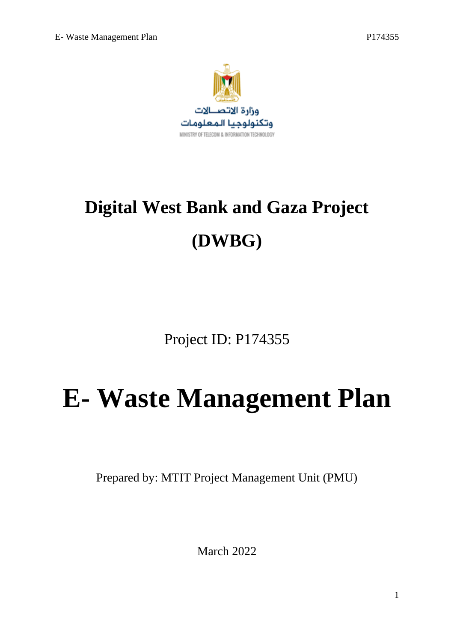

# **Digital West Bank and Gaza Project (DWBG)**

Project ID: P174355

# **E- Waste Management Plan**

Prepared by: MTIT Project Management Unit (PMU)

March 2022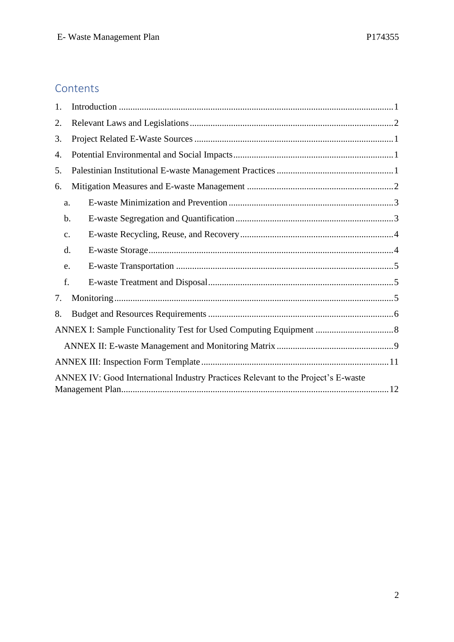# Contents

| 1. |                                                                                   |  |  |  |  |
|----|-----------------------------------------------------------------------------------|--|--|--|--|
| 2. |                                                                                   |  |  |  |  |
| 3. |                                                                                   |  |  |  |  |
| 4. |                                                                                   |  |  |  |  |
| 5. |                                                                                   |  |  |  |  |
| 6. |                                                                                   |  |  |  |  |
| a. |                                                                                   |  |  |  |  |
| b. |                                                                                   |  |  |  |  |
| c. |                                                                                   |  |  |  |  |
| d. |                                                                                   |  |  |  |  |
| e. |                                                                                   |  |  |  |  |
| f. |                                                                                   |  |  |  |  |
| 7. |                                                                                   |  |  |  |  |
| 8. |                                                                                   |  |  |  |  |
|    |                                                                                   |  |  |  |  |
|    |                                                                                   |  |  |  |  |
|    |                                                                                   |  |  |  |  |
|    | ANNEX IV: Good International Industry Practices Relevant to the Project's E-waste |  |  |  |  |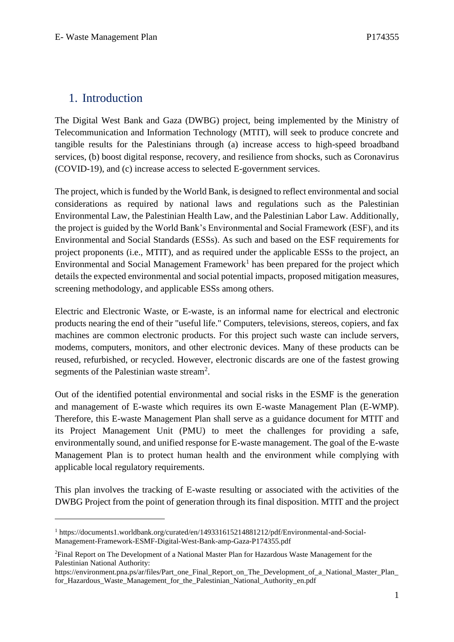# <span id="page-2-0"></span>1. Introduction

The Digital West Bank and Gaza (DWBG) project, being implemented by the Ministry of Telecommunication and Information Technology (MTIT), will seek to produce concrete and tangible results for the Palestinians through (a) increase access to high-speed broadband services, (b) boost digital response, recovery, and resilience from shocks, such as Coronavirus (COVID-19), and (c) increase access to selected E-government services.

The project, which is funded by the World Bank, is designed to reflect environmental and social considerations as required by national laws and regulations such as the Palestinian Environmental Law, the Palestinian Health Law, and the Palestinian Labor Law. Additionally, the project is guided by the World Bank's Environmental and Social Framework (ESF), and its Environmental and Social Standards (ESSs). As such and based on the ESF requirements for project proponents (i.e., MTIT), and as required under the applicable ESSs to the project, an Environmental and Social Management Framework<sup>1</sup> has been prepared for the project which details the expected environmental and social potential impacts, proposed mitigation measures, screening methodology, and applicable ESSs among others.

Electric and Electronic Waste, or E-waste, is an informal name for electrical and electronic products nearing the end of their "useful life." Computers, televisions, stereos, copiers, and fax machines are common electronic products. For this project such waste can include servers, modems, computers, monitors, and other electronic devices. Many of these products can be reused, refurbished, or recycled. However, electronic discards are one of the fastest growing segments of the Palestinian waste stream<sup>2</sup>.

Out of the identified potential environmental and social risks in the ESMF is the generation and management of E-waste which requires its own E-waste Management Plan (E-WMP). Therefore, this E-waste Management Plan shall serve as a guidance document for MTIT and its Project Management Unit (PMU) to meet the challenges for providing a safe, environmentally sound, and unified response for E-waste management. The goal of the E-waste Management Plan is to protect human health and the environment while complying with applicable local regulatory requirements.

This plan involves the tracking of E-waste resulting or associated with the activities of the DWBG Project from the point of generation through its final disposition. MTIT and the project

<sup>1</sup> https://documents1.worldbank.org/curated/en/149331615214881212/pdf/Environmental-and-Social-Management-Framework-ESMF-Digital-West-Bank-amp-Gaza-P174355.pdf

<sup>&</sup>lt;sup>2</sup>Final Report on The Development of a National Master Plan for Hazardous Waste Management for the Palestinian National Authority:

https://environment.pna.ps/ar/files/Part\_one\_Final\_Report\_on\_The\_Development\_of\_a\_National\_Master\_Plan\_ for\_Hazardous\_Waste\_Management\_for\_the\_Palestinian\_National\_Authority\_en.pdf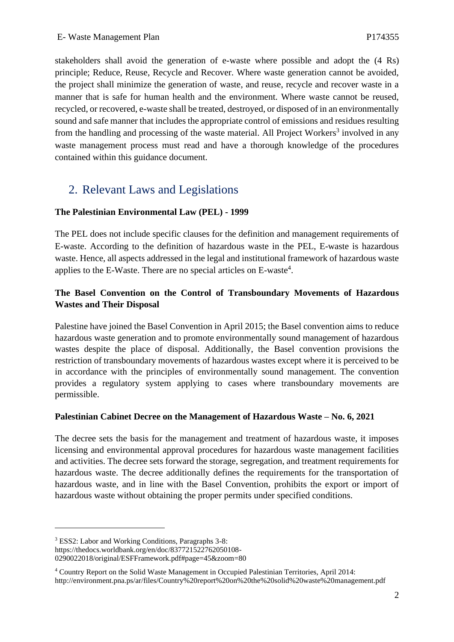stakeholders shall avoid the generation of e-waste where possible and adopt the (4 Rs) principle; Reduce, Reuse, Recycle and Recover. Where waste generation cannot be avoided, the project shall minimize the generation of waste, and reuse, recycle and recover waste in a manner that is safe for human health and the environment. Where waste cannot be reused, recycled, or recovered, e-waste shall be treated, destroyed, or disposed of in an environmentally sound and safe manner that includes the appropriate control of emissions and residues resulting from the handling and processing of the waste material. All Project Workers<sup>3</sup> involved in any waste management process must read and have a thorough knowledge of the procedures contained within this guidance document.

# <span id="page-3-0"></span>2. Relevant Laws and Legislations

#### **The Palestinian Environmental Law (PEL) - 1999**

The PEL does not include specific clauses for the definition and management requirements of E-waste. According to the definition of hazardous waste in the PEL, E-waste is hazardous waste. Hence, all aspects addressed in the legal and institutional framework of hazardous waste applies to the E-Waste. There are no special articles on E-waste<sup>4</sup>.

#### **The Basel Convention on the Control of Transboundary Movements of Hazardous Wastes and Their Disposal**

Palestine have joined the Basel Convention in April 2015; the Basel convention aims to reduce hazardous waste generation and to promote environmentally sound management of hazardous wastes despite the place of disposal. Additionally, the Basel convention provisions the restriction of transboundary movements of hazardous wastes except where it is perceived to be in accordance with the principles of environmentally sound management. The convention provides a regulatory system applying to cases where transboundary movements are permissible.

#### **Palestinian Cabinet Decree on the Management of Hazardous Waste – No. 6, 2021**

The decree sets the basis for the management and treatment of hazardous waste, it imposes licensing and environmental approval procedures for hazardous waste management facilities and activities. The decree sets forward the storage, segregation, and treatment requirements for hazardous waste. The decree additionally defines the requirements for the transportation of hazardous waste, and in line with the Basel Convention, prohibits the export or import of hazardous waste without obtaining the proper permits under specified conditions.

<sup>3</sup> ESS2: Labor and Working Conditions, Paragraphs 3-8:

https://thedocs.worldbank.org/en/doc/837721522762050108-

<sup>0290022018/</sup>original/ESFFramework.pdf#page=45&zoom=80

<sup>4</sup> Country Report on the Solid Waste Management in Occupied Palestinian Territories, April 2014: http://environment.pna.ps/ar/files/Country%20report%20on%20the%20solid%20waste%20management.pdf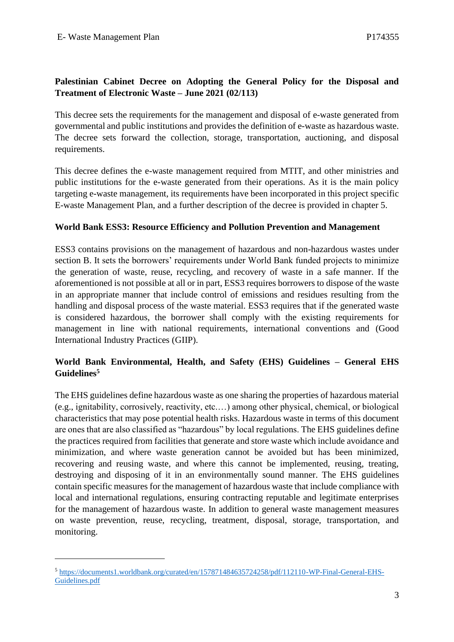#### **Palestinian Cabinet Decree on Adopting the General Policy for the Disposal and Treatment of Electronic Waste – June 2021 (02/113)**

This decree sets the requirements for the management and disposal of e-waste generated from governmental and public institutions and provides the definition of e-waste as hazardous waste. The decree sets forward the collection, storage, transportation, auctioning, and disposal requirements.

This decree defines the e-waste management required from MTIT, and other ministries and public institutions for the e-waste generated from their operations. As it is the main policy targeting e-waste management, its requirements have been incorporated in this project specific E-waste Management Plan, and a further description of the decree is provided in chapter 5.

#### **World Bank ESS3: Resource Efficiency and Pollution Prevention and Management**

ESS3 contains provisions on the management of hazardous and non-hazardous wastes under section B. It sets the borrowers' requirements under World Bank funded projects to minimize the generation of waste, reuse, recycling, and recovery of waste in a safe manner. If the aforementioned is not possible at all or in part, ESS3 requires borrowers to dispose of the waste in an appropriate manner that include control of emissions and residues resulting from the handling and disposal process of the waste material. ESS3 requires that if the generated waste is considered hazardous, the borrower shall comply with the existing requirements for management in line with national requirements, international conventions and (Good International Industry Practices (GIIP).

#### **World Bank Environmental, Health, and Safety (EHS) Guidelines – General EHS Guidelines<sup>5</sup>**

The EHS guidelines define hazardous waste as one sharing the properties of hazardous material (e.g., ignitability, corrosively, reactivity, etc.…) among other physical, chemical, or biological characteristics that may pose potential health risks. Hazardous waste in terms of this document are ones that are also classified as "hazardous" by local regulations. The EHS guidelines define the practices required from facilities that generate and store waste which include avoidance and minimization, and where waste generation cannot be avoided but has been minimized, recovering and reusing waste, and where this cannot be implemented, reusing, treating, destroying and disposing of it in an environmentally sound manner. The EHS guidelines contain specific measures for the management of hazardous waste that include compliance with local and international regulations, ensuring contracting reputable and legitimate enterprises for the management of hazardous waste. In addition to general waste management measures on waste prevention, reuse, recycling, treatment, disposal, storage, transportation, and monitoring.

<sup>5</sup> [https://documents1.worldbank.org/curated/en/157871484635724258/pdf/112110-WP-Final-General-EHS-](https://documents1.worldbank.org/curated/en/157871484635724258/pdf/112110-WP-Final-General-EHS-Guidelines.pdf)[Guidelines.pdf](https://documents1.worldbank.org/curated/en/157871484635724258/pdf/112110-WP-Final-General-EHS-Guidelines.pdf)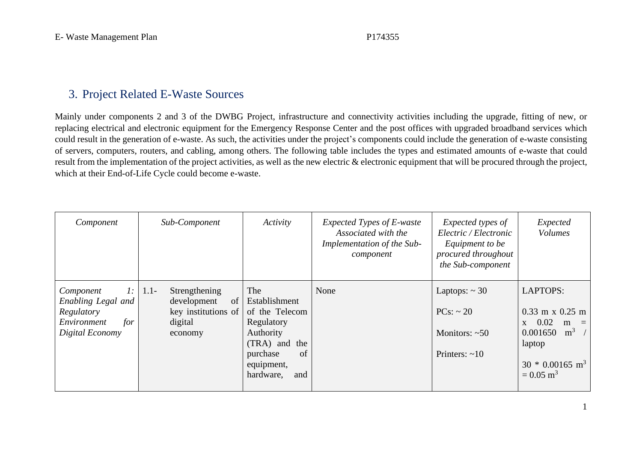# 3. Project Related E-Waste Sources

Mainly under components 2 and 3 of the DWBG Project, infrastructure and connectivity activities including the upgrade, fitting of new, or replacing electrical and electronic equipment for the Emergency Response Center and the post offices with upgraded broadband services which could result in the generation of e-waste. As such, the activities under the project's components could include the generation of e-waste consisting of servers, computers, routers, and cabling, among others. The following table includes the types and estimated amounts of e-waste that could result from the implementation of the project activities, as well as the new electric & electronic equipment that will be procured through the project, which at their End-of-Life Cycle could become e-waste.

<span id="page-5-0"></span>

| Component                                                                                    | Sub-Component                                                                              | Activity                                                                                                                                  | Expected Types of E-waste<br>Associated with the<br>Implementation of the Sub-<br>component | Expected types of<br>Electric / Electronic<br>Equipment to be<br>procured throughout<br>the Sub-component | Expected<br><b>Volumes</b>                                                                                                                                                          |
|----------------------------------------------------------------------------------------------|--------------------------------------------------------------------------------------------|-------------------------------------------------------------------------------------------------------------------------------------------|---------------------------------------------------------------------------------------------|-----------------------------------------------------------------------------------------------------------|-------------------------------------------------------------------------------------------------------------------------------------------------------------------------------------|
| 1:<br>Component<br>Enabling Legal and<br>Regulatory<br>Environment<br>for<br>Digital Economy | $1.1 -$<br>Strengthening<br>development<br>of<br>key institutions of<br>digital<br>economy | The<br>Establishment<br>of the Telecom<br>Regulatory<br>Authority<br>(TRA) and<br>the<br>of<br>purchase<br>equipment,<br>hardware,<br>and | None                                                                                        | Laptops: $\sim$ 30<br>$PCs$ : ~ 20<br>Monitors: $~50$<br>Printers: $\sim 10$                              | <b>LAPTOPS:</b><br>$0.33$ m x $0.25$ m<br>0.02<br>m<br>$\mathbf{X}$<br>$\equiv$<br>m <sup>3</sup><br>0.001650<br>laptop<br>$30 * 0.00165$ m <sup>3</sup><br>$= 0.05$ m <sup>3</sup> |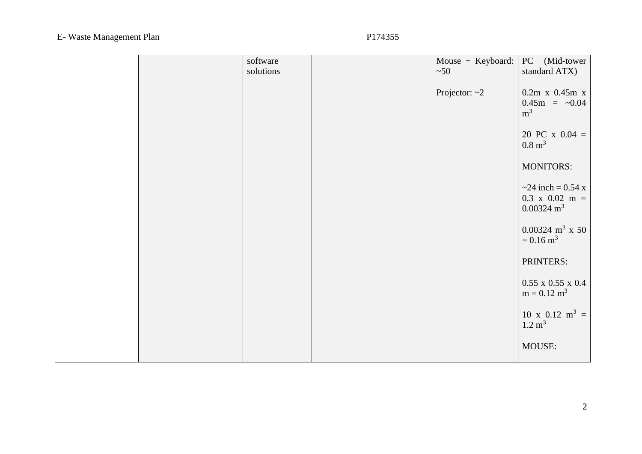|  | software  | Mouse + Keyboard: | PC (Mid-tower                                                                        |
|--|-----------|-------------------|--------------------------------------------------------------------------------------|
|  | solutions | ~50               | standard ATX)                                                                        |
|  |           | Projector: $~2$   | $0.2m$ x $0.45m$ x<br>$0.45m = -0.04$<br>m <sup>3</sup>                              |
|  |           |                   | 20 PC x $0.04 =$<br>$0.8 \text{ m}^3$                                                |
|  |           |                   | <b>MONITORS:</b>                                                                     |
|  |           |                   | $\approx$ 24 inch = 0.54 x<br>$0.3 \times 0.02 \text{ m} =$<br>$0.00324 \text{ m}^3$ |
|  |           |                   | $0.00324 \text{ m}^3 \times 50$<br>$= 0.16$ m <sup>3</sup>                           |
|  |           |                   | PRINTERS:                                                                            |
|  |           |                   | $0.55$ x $0.55$ x $0.4$<br>$m = 0.12 m3$                                             |
|  |           |                   | $10 x 0.12 m3 =$<br>$1.2 \text{ m}^3$                                                |
|  |           |                   | MOUSE:                                                                               |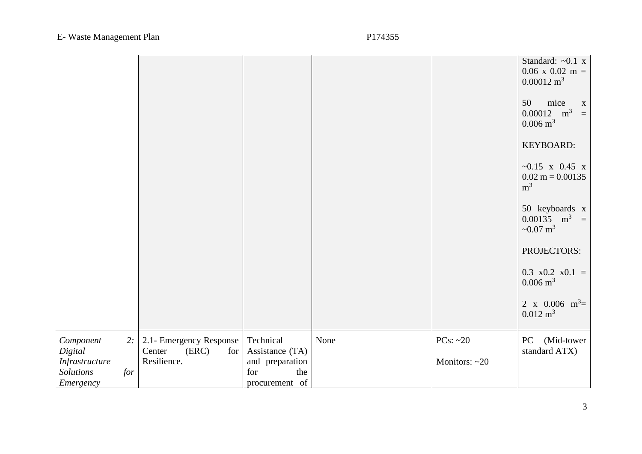|                                                                                      |                                                                  |                                                                                 |      |                                   | Standard: $\sim 0.1$ x<br>$0.06$ x $0.02$ m =<br>$0.00012 \text{ m}^3$          |
|--------------------------------------------------------------------------------------|------------------------------------------------------------------|---------------------------------------------------------------------------------|------|-----------------------------------|---------------------------------------------------------------------------------|
|                                                                                      |                                                                  |                                                                                 |      |                                   | mice<br>50<br>$\mathbf X$<br>$0.00012 \text{ m}^3 =$<br>$0.006 \; \mathrm{m}^3$ |
|                                                                                      |                                                                  |                                                                                 |      |                                   | KEYBOARD:                                                                       |
|                                                                                      |                                                                  |                                                                                 |      |                                   | $~15$ x 0.45 x<br>$0.02 \text{ m} = 0.00135$<br>m <sup>3</sup>                  |
|                                                                                      |                                                                  |                                                                                 |      |                                   | 50 keyboards x<br>$0.00135 \text{ m}^3 =$<br>~0.07 $m^3$                        |
|                                                                                      |                                                                  |                                                                                 |      |                                   | PROJECTORS:                                                                     |
|                                                                                      |                                                                  |                                                                                 |      |                                   | $0.3 \times 0.2 \times 0.1 =$<br>$0.006 \text{ m}^3$                            |
|                                                                                      |                                                                  |                                                                                 |      |                                   | 2 x 0.006 $m^3$ =<br>$0.012 \text{ m}^3$                                        |
| Component<br>2:<br>Digital<br>Infrastructure<br><b>Solutions</b><br>for<br>Emergency | 2.1- Emergency Response<br>Center<br>(ERC)<br>for<br>Resilience. | Technical<br>Assistance (TA)<br>and preparation<br>for<br>the<br>procurement of | None | PCs: $\sim$ 20<br>Monitors: $~20$ | PC<br>(Mid-tower<br>standard ATX)                                               |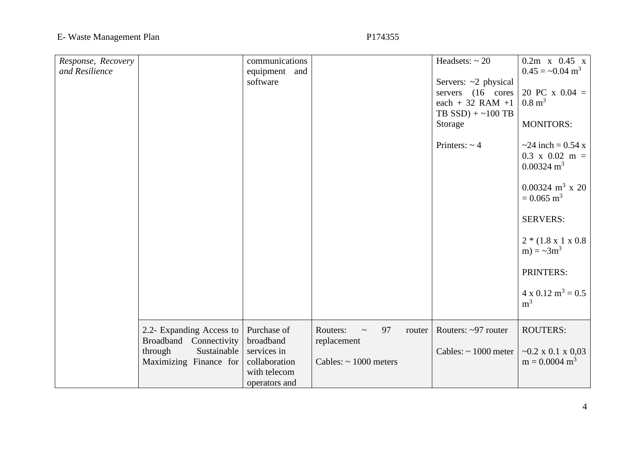| Response, Recovery<br>and Resilience |                                                                                                           | communications<br>equipment and<br>software                                               |                                                                                 | Headsets: $\sim 20$<br>Servers: ~2 physical<br>servers (16 cores<br>each + 32 RAM +1<br>TB $SSD$ ) + ~100 TB<br>Storage<br>Printers: $\sim$ 4 | $0.2m$ x $0.45$ x<br>$0.45 = -0.04$ m <sup>3</sup><br>20 PC x $0.04 =$<br>$0.8 \text{ m}^3$<br><b>MONITORS:</b><br>$\approx$ 24 inch = 0.54 x<br>$0.3 \times 0.02 \text{ m} =$<br>$0.00324 \text{ m}^3$<br>$0.00324 \text{ m}^3 \times 20$<br>$= 0.065$ m <sup>3</sup><br><b>SERVERS:</b><br>$2*(1.8 \times 1 \times 0.8$<br>m) = $\sim 3m^3$<br>PRINTERS:<br>$4 \times 0.12 \text{ m}^3 = 0.5$ |
|--------------------------------------|-----------------------------------------------------------------------------------------------------------|-------------------------------------------------------------------------------------------|---------------------------------------------------------------------------------|-----------------------------------------------------------------------------------------------------------------------------------------------|-------------------------------------------------------------------------------------------------------------------------------------------------------------------------------------------------------------------------------------------------------------------------------------------------------------------------------------------------------------------------------------------------|
|                                      |                                                                                                           |                                                                                           |                                                                                 |                                                                                                                                               | m <sup>3</sup>                                                                                                                                                                                                                                                                                                                                                                                  |
|                                      | 2.2- Expanding Access to<br>Connectivity<br>Broadband<br>through<br>Sustainable<br>Maximizing Finance for | Purchase of<br>broadband<br>services in<br>collaboration<br>with telecom<br>operators and | Routers:<br>97<br>router<br>$\sim$<br>replacement<br>Cables: $\sim 1000$ meters | Routers: ~97 router<br>Cables: $\sim 1000$ meter                                                                                              | <b>ROUTERS:</b><br>$\sim 0.2$ x 0.1 x 0.03<br>$m = 0.0004$ m <sup>3</sup>                                                                                                                                                                                                                                                                                                                       |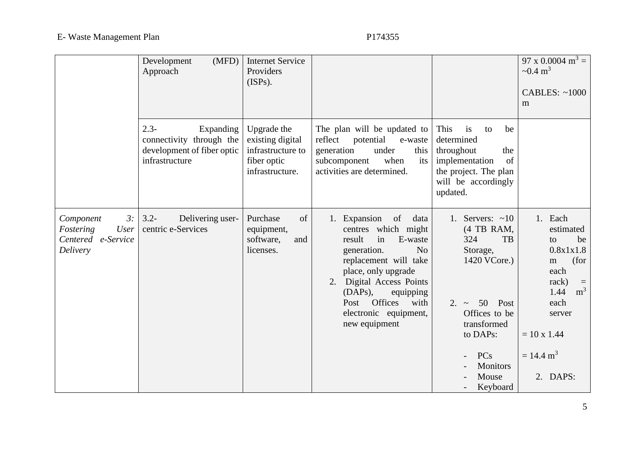|                                                                        | (MFD)<br>Development<br>Approach                                                                 | <b>Internet Service</b><br>Providers<br>(ISPs).                                        |                                                                                                                                                                                                                                                                                        |                                                                                                                                                                                                    | 97 x 0.0004 m <sup>3</sup> =<br>$\sim 0.4 \text{ m}^3$<br><b>CABLES: ~1000</b><br>m                                                                                               |
|------------------------------------------------------------------------|--------------------------------------------------------------------------------------------------|----------------------------------------------------------------------------------------|----------------------------------------------------------------------------------------------------------------------------------------------------------------------------------------------------------------------------------------------------------------------------------------|----------------------------------------------------------------------------------------------------------------------------------------------------------------------------------------------------|-----------------------------------------------------------------------------------------------------------------------------------------------------------------------------------|
|                                                                        | $2.3 -$<br>Expanding<br>connectivity through the<br>development of fiber optic<br>infrastructure | Upgrade the<br>existing digital<br>infrastructure to<br>fiber optic<br>infrastructure. | The plan will be updated to<br>reflect potential<br>e-waste<br>under<br>generation<br>this<br>subcomponent<br>when<br>its<br>activities are determined.                                                                                                                                | This<br>be<br>is<br>to<br>determined<br>throughout<br>the<br>implementation<br>of<br>the project. The plan<br>will be accordingly<br>updated.                                                      |                                                                                                                                                                                   |
| 3:<br>Component<br>Fostering<br>User<br>Centered e-Service<br>Delivery | $3.2 -$<br>Delivering user-<br>centric e-Services                                                | Purchase<br>of<br>equipment,<br>software,<br>and<br>licenses.                          | 1. Expansion<br>of<br>data<br>centres which might<br>in<br>E-waste<br>result<br>N <sub>o</sub><br>generation.<br>replacement will take<br>place, only upgrade<br>2. Digital Access Points<br>$(DAPs)$ ,<br>equipping<br>Post Offices<br>with<br>electronic equipment,<br>new equipment | 1. Servers: $\sim 10$<br>(4 TB RAM,<br>324<br>TB<br>Storage,<br>1420 VCore.)<br>50<br>Post<br>$2. \sim$<br>Offices to be<br>transformed<br>to DAPs:<br>PCs<br><b>Monitors</b><br>Mouse<br>Keyboard | 1. Each<br>estimated<br>be<br>to<br>0.8x1x1.8<br>(for<br>m<br>each<br>rack)<br>m <sup>3</sup><br>1.44<br>each<br>server<br>$= 10 \times 1.44$<br>$= 14.4 \text{ m}^3$<br>2. DAPS: |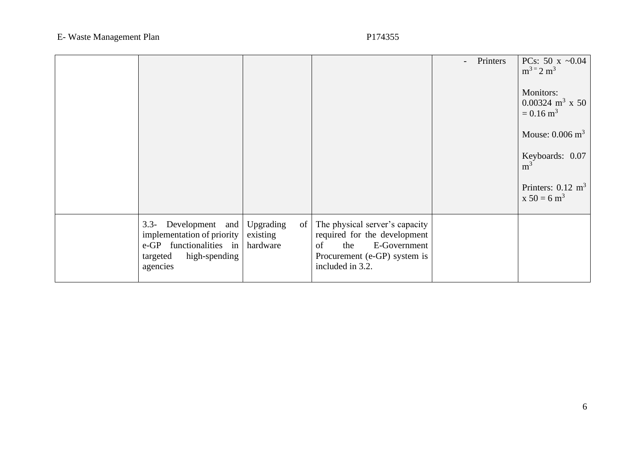|                                                                                                                                    |                                         |                                                                                                                                                 | Printers<br>$\overline{\phantom{0}}$ | PCs: 50 x $\sim 0.04$<br>$m^3 = 2 m^3$<br>Monitors:<br>$0.00324 \text{ m}^3 \times 50$<br>$= 0.16$ m <sup>3</sup><br>Mouse: $0.006 \text{ m}^3$<br>Keyboards: 0.07<br>m <sup>3</sup><br>Printers: $0.12 \text{ m}^3$<br>$x 50 = 6 m3$ |
|------------------------------------------------------------------------------------------------------------------------------------|-----------------------------------------|-------------------------------------------------------------------------------------------------------------------------------------------------|--------------------------------------|---------------------------------------------------------------------------------------------------------------------------------------------------------------------------------------------------------------------------------------|
| Development and<br>$3.3 -$<br>implementation of priority<br>functionalities in<br>$e$ -GP<br>high-spending<br>targeted<br>agencies | Upgrading<br>of<br>existing<br>hardware | The physical server's capacity<br>required for the development<br>E-Government<br>the<br>of<br>Procurement (e-GP) system is<br>included in 3.2. |                                      |                                                                                                                                                                                                                                       |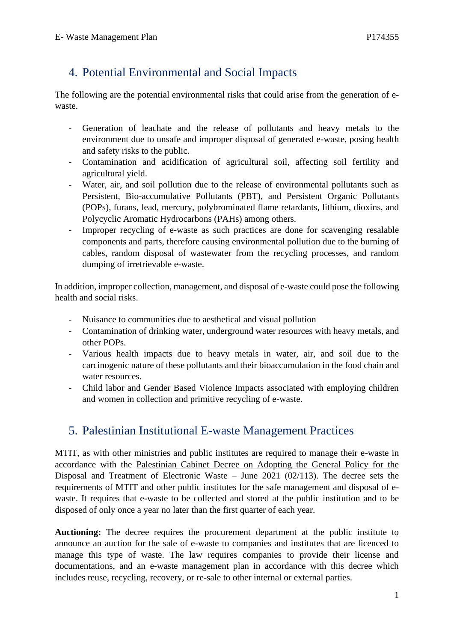# <span id="page-11-0"></span>4. Potential Environmental and Social Impacts

The following are the potential environmental risks that could arise from the generation of ewaste.

- Generation of leachate and the release of pollutants and heavy metals to the environment due to unsafe and improper disposal of generated e-waste, posing health and safety risks to the public.
- Contamination and acidification of agricultural soil, affecting soil fertility and agricultural yield.
- Water, air, and soil pollution due to the release of environmental pollutants such as Persistent, Bio-accumulative Pollutants (PBT), and Persistent Organic Pollutants (POPs), furans, lead, mercury, polybrominated flame retardants, lithium, dioxins, and Polycyclic Aromatic Hydrocarbons (PAHs) among others.
- Improper recycling of e-waste as such practices are done for scavenging resalable components and parts, therefore causing environmental pollution due to the burning of cables, random disposal of wastewater from the recycling processes, and random dumping of irretrievable e-waste.

In addition, improper collection, management, and disposal of e-waste could pose the following health and social risks.

- Nuisance to communities due to aesthetical and visual pollution
- Contamination of drinking water, underground water resources with heavy metals, and other POPs.
- Various health impacts due to heavy metals in water, air, and soil due to the carcinogenic nature of these pollutants and their bioaccumulation in the food chain and water resources.
- Child labor and Gender Based Violence Impacts associated with employing children and women in collection and primitive recycling of e-waste.

# <span id="page-11-1"></span>5. Palestinian Institutional E-waste Management Practices

MTIT, as with other ministries and public institutes are required to manage their e-waste in accordance with the Palestinian Cabinet Decree on Adopting the General Policy for the Disposal and Treatment of Electronic Waste – June 2021 (02/113). The decree sets the requirements of MTIT and other public institutes for the safe management and disposal of ewaste. It requires that e-waste to be collected and stored at the public institution and to be disposed of only once a year no later than the first quarter of each year.

**Auctioning:** The decree requires the procurement department at the public institute to announce an auction for the sale of e-waste to companies and institutes that are licenced to manage this type of waste. The law requires companies to provide their license and documentations, and an e-waste management plan in accordance with this decree which includes reuse, recycling, recovery, or re-sale to other internal or external parties.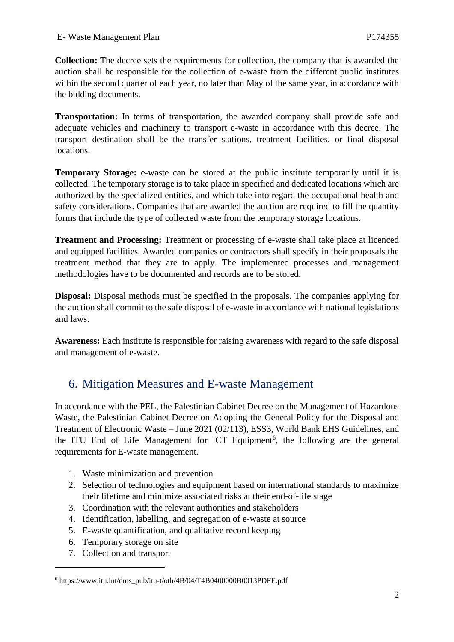**Collection:** The decree sets the requirements for collection, the company that is awarded the auction shall be responsible for the collection of e-waste from the different public institutes within the second quarter of each year, no later than May of the same year, in accordance with the bidding documents.

**Transportation:** In terms of transportation, the awarded company shall provide safe and adequate vehicles and machinery to transport e-waste in accordance with this decree. The transport destination shall be the transfer stations, treatment facilities, or final disposal locations.

**Temporary Storage:** e-waste can be stored at the public institute temporarily until it is collected. The temporary storage is to take place in specified and dedicated locations which are authorized by the specialized entities, and which take into regard the occupational health and safety considerations. Companies that are awarded the auction are required to fill the quantity forms that include the type of collected waste from the temporary storage locations.

**Treatment and Processing:** Treatment or processing of e-waste shall take place at licenced and equipped facilities. Awarded companies or contractors shall specify in their proposals the treatment method that they are to apply. The implemented processes and management methodologies have to be documented and records are to be stored.

**Disposal:** Disposal methods must be specified in the proposals. The companies applying for the auction shall commit to the safe disposal of e-waste in accordance with national legislations and laws.

**Awareness:** Each institute is responsible for raising awareness with regard to the safe disposal and management of e-waste.

# <span id="page-12-0"></span>6. Mitigation Measures and E-waste Management

In accordance with the PEL, the Palestinian Cabinet Decree on the Management of Hazardous Waste, the Palestinian Cabinet Decree on Adopting the General Policy for the Disposal and Treatment of Electronic Waste – June 2021 (02/113), ESS3, World Bank EHS Guidelines, and the ITU End of Life Management for ICT Equipment<sup>6</sup>, the following are the general requirements for E-waste management.

- 1. Waste minimization and prevention
- 2. Selection of technologies and equipment based on international standards to maximize their lifetime and minimize associated risks at their end-of-life stage
- 3. Coordination with the relevant authorities and stakeholders
- 4. Identification, labelling, and segregation of e-waste at source
- 5. E-waste quantification, and qualitative record keeping
- 6. Temporary storage on site
- 7. Collection and transport

<sup>6</sup> https://www.itu.int/dms\_pub/itu-t/oth/4B/04/T4B0400000B0013PDFE.pdf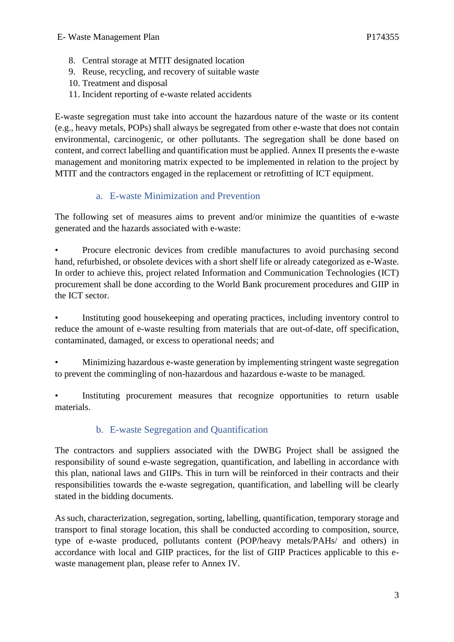- 8. Central storage at MTIT designated location
- 9. Reuse, recycling, and recovery of suitable waste
- 10. Treatment and disposal
- 11. Incident reporting of e-waste related accidents

E-waste segregation must take into account the hazardous nature of the waste or its content (e.g., heavy metals, POPs) shall always be segregated from other e-waste that does not contain environmental, carcinogenic, or other pollutants. The segregation shall be done based on content, and correct labelling and quantification must be applied. Annex II presents the e-waste management and monitoring matrix expected to be implemented in relation to the project by MTIT and the contractors engaged in the replacement or retrofitting of ICT equipment.

### a. E-waste Minimization and Prevention

<span id="page-13-0"></span>The following set of measures aims to prevent and/or minimize the quantities of e-waste generated and the hazards associated with e-waste:

• Procure electronic devices from credible manufactures to avoid purchasing second hand, refurbished, or obsolete devices with a short shelf life or already categorized as e-Waste. In order to achieve this, project related Information and Communication Technologies (ICT) procurement shall be done according to the World Bank procurement procedures and GIIP in the ICT sector.

Instituting good house keeping and operating practices, including inventory control to reduce the amount of e-waste resulting from materials that are out-of-date, off specification, contaminated, damaged, or excess to operational needs; and

• Minimizing hazardous e-waste generation by implementing stringent waste segregation to prevent the commingling of non-hazardous and hazardous e-waste to be managed.

Instituting procurement measures that recognize opportunities to return usable materials.

### b. E-waste Segregation and Quantification

<span id="page-13-1"></span>The contractors and suppliers associated with the DWBG Project shall be assigned the responsibility of sound e-waste segregation, quantification, and labelling in accordance with this plan, national laws and GIIPs. This in turn will be reinforced in their contracts and their responsibilities towards the e-waste segregation, quantification, and labelling will be clearly stated in the bidding documents.

As such, characterization, segregation, sorting, labelling, quantification, temporary storage and transport to final storage location, this shall be conducted according to composition, source, type of e-waste produced, pollutants content (POP/heavy metals/PAHs/ and others) in accordance with local and GIIP practices, for the list of GIIP Practices applicable to this ewaste management plan, please refer to Annex IV.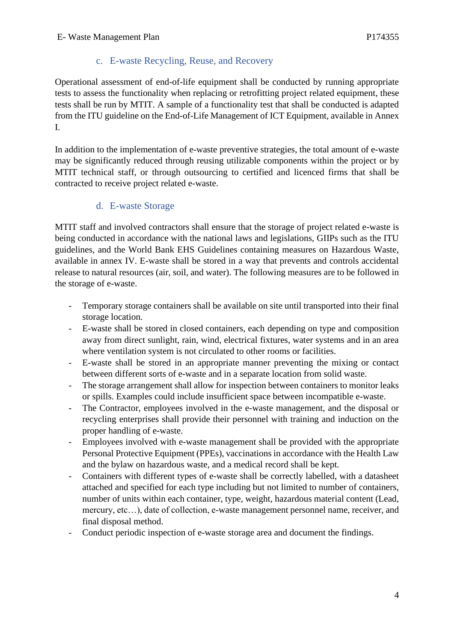### c. E-waste Recycling, Reuse, and Recovery

<span id="page-14-0"></span>Operational assessment of end-of-life equipment shall be conducted by running appropriate tests to assess the functionality when replacing or retrofitting project related equipment, these tests shall be run by MTIT. A sample of a functionality test that shall be conducted is adapted from the ITU guideline on the End-of-Life Management of ICT Equipment, available in Annex I.

In addition to the implementation of e-waste preventive strategies, the total amount of e-waste may be significantly reduced through reusing utilizable components within the project or by MTIT technical staff, or through outsourcing to certified and licenced firms that shall be contracted to receive project related e-waste.

### d. E-waste Storage

<span id="page-14-1"></span>MTIT staff and involved contractors shall ensure that the storage of project related e-waste is being conducted in accordance with the national laws and legislations, GIIPs such as the ITU guidelines, and the World Bank EHS Guidelines containing measures on Hazardous Waste, available in annex IV. E-waste shall be stored in a way that prevents and controls accidental release to natural resources (air, soil, and water). The following measures are to be followed in the storage of e-waste.

- Temporary storage containers shall be available on site until transported into their final storage location.
- E-waste shall be stored in closed containers, each depending on type and composition away from direct sunlight, rain, wind, electrical fixtures, water systems and in an area where ventilation system is not circulated to other rooms or facilities.
- E-waste shall be stored in an appropriate manner preventing the mixing or contact between different sorts of e-waste and in a separate location from solid waste.
- The storage arrangement shall allow for inspection between containers to monitor leaks or spills. Examples could include insufficient space between incompatible e-waste.
- The Contractor, employees involved in the e-waste management, and the disposal or recycling enterprises shall provide their personnel with training and induction on the proper handling of e-waste.
- Employees involved with e-waste management shall be provided with the appropriate Personal Protective Equipment (PPEs), vaccinations in accordance with the Health Law and the bylaw on hazardous waste, and a medical record shall be kept.
- Containers with different types of e-waste shall be correctly labelled, with a datasheet attached and specified for each type including but not limited to number of containers, number of units within each container, type, weight, hazardous material content (Lead, mercury, etc…), date of collection, e-waste management personnel name, receiver, and final disposal method.
- Conduct periodic inspection of e-waste storage area and document the findings.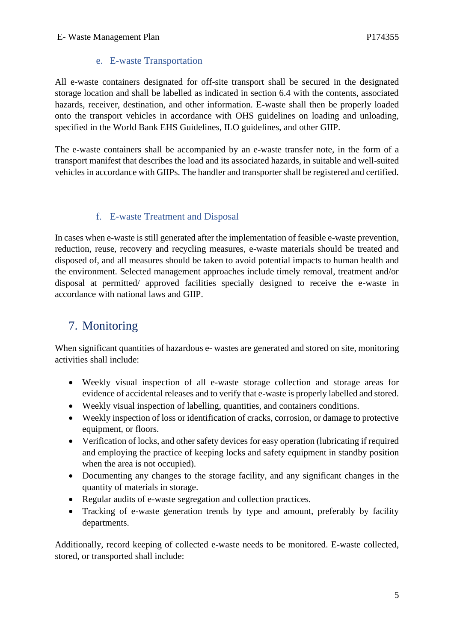### e. E-waste Transportation

<span id="page-15-0"></span>All e-waste containers designated for off-site transport shall be secured in the designated storage location and shall be labelled as indicated in section 6.4 with the contents, associated hazards, receiver, destination, and other information. E-waste shall then be properly loaded onto the transport vehicles in accordance with OHS guidelines on loading and unloading, specified in the World Bank EHS Guidelines, ILO guidelines, and other GIIP.

The e-waste containers shall be accompanied by an e-waste transfer note, in the form of a transport manifest that describes the load and its associated hazards, in suitable and well-suited vehicles in accordance with GIIPs. The handler and transporter shall be registered and certified.

### f. E-waste Treatment and Disposal

<span id="page-15-1"></span>In cases when e-waste is still generated after the implementation of feasible e-waste prevention, reduction, reuse, recovery and recycling measures, e-waste materials should be treated and disposed of, and all measures should be taken to avoid potential impacts to human health and the environment. Selected management approaches include timely removal, treatment and/or disposal at permitted/ approved facilities specially designed to receive the e-waste in accordance with national laws and GIIP.

# <span id="page-15-2"></span>7. Monitoring

When significant quantities of hazardous e- wastes are generated and stored on site, monitoring activities shall include:

- Weekly visual inspection of all e-waste storage collection and storage areas for evidence of accidental releases and to verify that e-waste is properly labelled and stored.
- Weekly visual inspection of labelling, quantities, and containers conditions.
- Weekly inspection of loss or identification of cracks, corrosion, or damage to protective equipment, or floors.
- Verification of locks, and other safety devices for easy operation (lubricating if required and employing the practice of keeping locks and safety equipment in standby position when the area is not occupied).
- Documenting any changes to the storage facility, and any significant changes in the quantity of materials in storage.
- Regular audits of e-waste segregation and collection practices.
- Tracking of e-waste generation trends by type and amount, preferably by facility departments.

Additionally, record keeping of collected e-waste needs to be monitored. E-waste collected, stored, or transported shall include: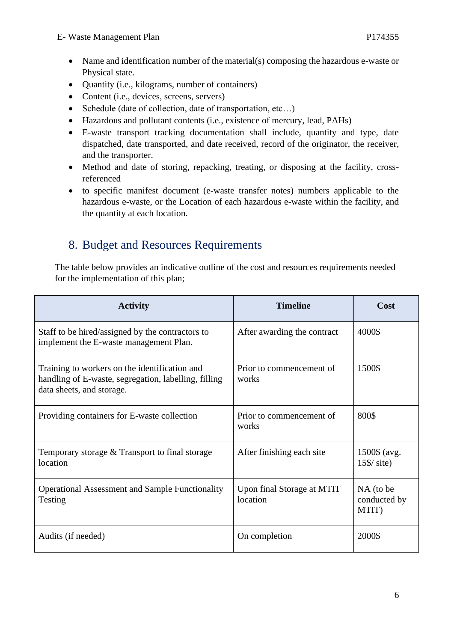- Name and identification number of the material(s) composing the hazardous e-waste or Physical state.
- Quantity (i.e., kilograms, number of containers)
- Content (i.e., devices, screens, servers)
- Schedule (date of collection, date of transportation, etc...)
- Hazardous and pollutant contents (i.e., existence of mercury, lead, PAHs)
- E-waste transport tracking documentation shall include, quantity and type, date dispatched, date transported, and date received, record of the originator, the receiver, and the transporter.
- Method and date of storing, repacking, treating, or disposing at the facility, crossreferenced
- to specific manifest document (e-waste transfer notes) numbers applicable to the hazardous e-waste, or the Location of each hazardous e-waste within the facility, and the quantity at each location.

# <span id="page-16-0"></span>8. Budget and Resources Requirements

The table below provides an indicative outline of the cost and resources requirements needed for the implementation of this plan;

| <b>Activity</b>                                                                                                                    | <b>Timeline</b>                        | Cost                               |
|------------------------------------------------------------------------------------------------------------------------------------|----------------------------------------|------------------------------------|
| Staff to be hired/assigned by the contractors to<br>implement the E-waste management Plan.                                         | After awarding the contract            | 4000\$                             |
| Training to workers on the identification and<br>handling of E-waste, segregation, labelling, filling<br>data sheets, and storage. | Prior to commencement of<br>works      | 1500\$                             |
| Providing containers for E-waste collection                                                                                        | Prior to commencement of<br>works      | 800\$                              |
| Temporary storage & Transport to final storage<br>location                                                                         | After finishing each site              | 1500\$ (avg.<br>$15\$ / site)      |
| <b>Operational Assessment and Sample Functionality</b><br>Testing                                                                  | Upon final Storage at MTIT<br>location | NA (to be<br>conducted by<br>MTIT) |
| Audits (if needed)                                                                                                                 | On completion                          | 2000\$                             |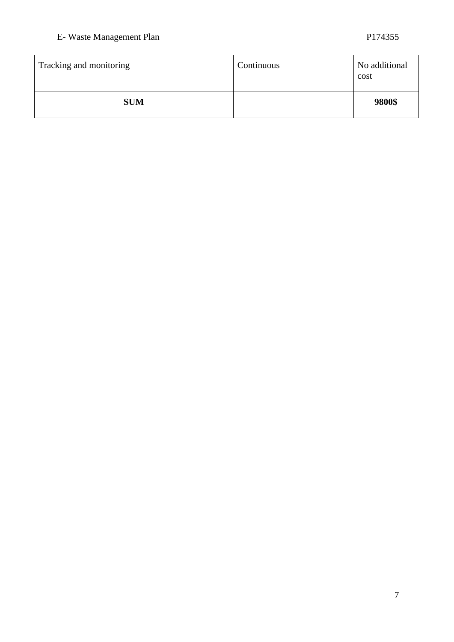| Tracking and monitoring | Continuous | No additional<br>cost |
|-------------------------|------------|-----------------------|
| <b>SUM</b>              |            | 9800\$                |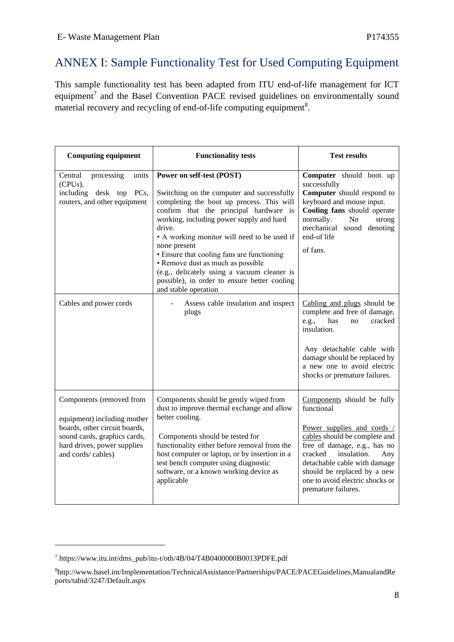# <span id="page-18-0"></span>ANNEX I: Sample Functionality Test for Used Computing Equipment

This sample functionality test has been adapted from ITU end-of-life management for ICT equipment<sup>7</sup> and the Basel Convention PACE revised guidelines on environmentally sound material recovery and recycling of end-of-life computing equipment<sup>8</sup>.

| <b>Computing equipment</b>                                                                                                                                                   | <b>Functionality tests</b>                                                                                                                                                                                                                                                                                                                                                                                                                                                                    | <b>Test results</b>                                                                                                                                                                                                                                                                               |
|------------------------------------------------------------------------------------------------------------------------------------------------------------------------------|-----------------------------------------------------------------------------------------------------------------------------------------------------------------------------------------------------------------------------------------------------------------------------------------------------------------------------------------------------------------------------------------------------------------------------------------------------------------------------------------------|---------------------------------------------------------------------------------------------------------------------------------------------------------------------------------------------------------------------------------------------------------------------------------------------------|
| Central<br>processing<br>units<br>(CPUs),<br>including desk top PCs,<br>routers, and other equipment                                                                         | Power on self-test (POST)<br>Switching on the computer and successfully<br>completing the boot up process. This will<br>confirm that the principal hardware is<br>working, including power supply and hard<br>drive.<br>• A working monitor will need to be used if<br>none present<br>• Ensure that cooling fans are functioning<br>• Remove dust as much as possible<br>(e.g., delicately using a vacuum cleaner is<br>possible), in order to ensure better cooling<br>and stable operation | Computer should boot up<br>successfully<br>Computer should respond to<br>keyboard and mouse input.<br>Cooling fans should operate<br>normally.<br>No<br>strong<br>mechanical sound denoting<br>end-of life<br>of fans.                                                                            |
| Cables and power cords                                                                                                                                                       | Assess cable insulation and inspect<br>plugs                                                                                                                                                                                                                                                                                                                                                                                                                                                  | Cabling and plugs should be<br>complete and free of damage,<br>has<br>e.g.,<br>cracked<br>no<br>insulation.<br>Any detachable cable with<br>damage should be replaced by<br>a new one to avoid electric<br>shocks or premature failures.                                                          |
| Components (removed from<br>equipment) including mother<br>boards, other circuit boards,<br>sound cards, graphics cards,<br>hard drives, power supplies<br>and cords/cables) | Components should be gently wiped from<br>dust to improve thermal exchange and allow<br>better cooling.<br>Components should be tested for<br>functionality either before removal from the<br>host computer or laptop, or by insertion in a<br>test bench computer using diagnostic<br>software, or a known working device as<br>applicable                                                                                                                                                   | Components should be fully<br>functional<br>Power supplies and cords /<br>cables should be complete and<br>free of damage, e.g., has no<br>cracked<br>insulation.<br>Any<br>detachable cable with damage<br>should be replaced by a new<br>one to avoid electric shocks or<br>premature failures. |

<sup>7</sup> https://www.itu.int/dms\_pub/itu-t/oth/4B/04/T4B0400000B0013PDFE.pdf

<sup>8</sup>http://www.basel.int/Implementation/TechnicalAssistance/Partnerships/PACE/PACEGuidelines,ManualandRe ports/tabid/3247/Default.aspx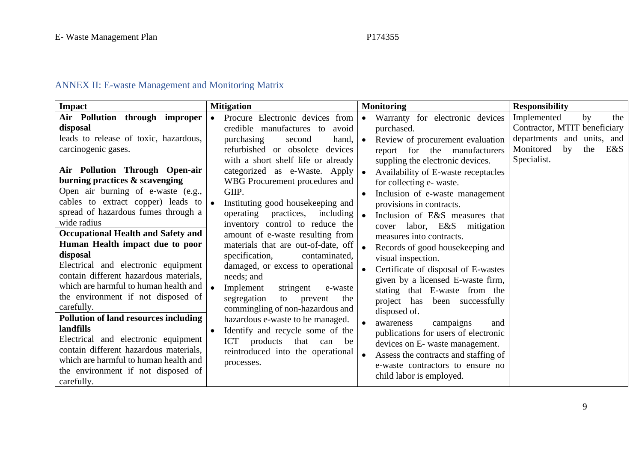9

# ANNEX II: E-waste Management and Monitoring Matrix

<span id="page-19-0"></span>

| Impact                                       | <b>Mitigation</b>                              | <b>Monitoring</b>                                | <b>Responsibility</b>         |
|----------------------------------------------|------------------------------------------------|--------------------------------------------------|-------------------------------|
| Air Pollution through improper               | Procure Electronic devices from<br>$\bullet$   | Warranty for electronic devices<br>$\bullet$     | Implemented<br>the<br>by      |
| disposal                                     | credible manufactures to<br>avoid              | purchased.                                       | Contractor, MTIT beneficiary  |
| leads to release of toxic, hazardous,        | purchasing<br>hand,<br>second                  | Review of procurement evaluation<br>$\bullet$    | departments and units, and    |
| carcinogenic gases.                          | refurbished or obsolete<br>devices             | report for the manufacturers                     | E&S<br>by<br>the<br>Monitored |
|                                              | with a short shelf life or already             | suppling the electronic devices.                 | Specialist.                   |
| Air Pollution Through Open-air               | categorized as e-Waste. Apply                  | Availability of E-waste receptacles<br>$\bullet$ |                               |
| burning practices & scavenging               | WBG Procurement procedures and                 | for collecting e- waste.                         |                               |
| Open air burning of e-waste (e.g.,           | GIIP.                                          | Inclusion of e-waste management                  |                               |
| cables to extract copper) leads to           | Instituting good housekeeping and              | provisions in contracts.                         |                               |
| spread of hazardous fumes through a          | operating<br>practices, including              | Inclusion of E&S measures that<br>$\bullet$      |                               |
| wide radius                                  | inventory control to reduce the                | cover labor, E&S mitigation                      |                               |
| <b>Occupational Health and Safety and</b>    | amount of e-waste resulting from               | measures into contracts.                         |                               |
| Human Health impact due to poor              | materials that are out-of-date, off            | $\bullet$<br>Records of good housekeeping and    |                               |
| disposal                                     | specification,<br>contaminated,                | visual inspection.                               |                               |
| Electrical and electronic equipment          | damaged, or excess to operational              | Certificate of disposal of E-wastes              |                               |
| contain different hazardous materials,       | needs; and                                     | given by a licensed E-waste firm,                |                               |
| which are harmful to human health and        | $\bullet$<br>Implement<br>stringent<br>e-waste | stating that E-waste from the                    |                               |
| the environment if not disposed of           | segregation<br>to<br>the<br>prevent            | project has been successfully                    |                               |
| carefully.                                   | commingling of non-hazardous and               | disposed of.                                     |                               |
| <b>Pollution of land resources including</b> | hazardous e-waste to be managed.               | awareness<br>campaigns<br>and                    |                               |
| landfills                                    | Identify and recycle some of the<br>$\bullet$  | publications for users of electronic             |                               |
| Electrical and electronic equipment          | ICT products that can<br>be                    | devices on E- waste management.                  |                               |
| contain different hazardous materials,       | reintroduced into the operational              | Assess the contracts and staffing of             |                               |
| which are harmful to human health and        | processes.                                     | e-waste contractors to ensure no                 |                               |
| the environment if not disposed of           |                                                |                                                  |                               |
| carefully.                                   |                                                | child labor is employed.                         |                               |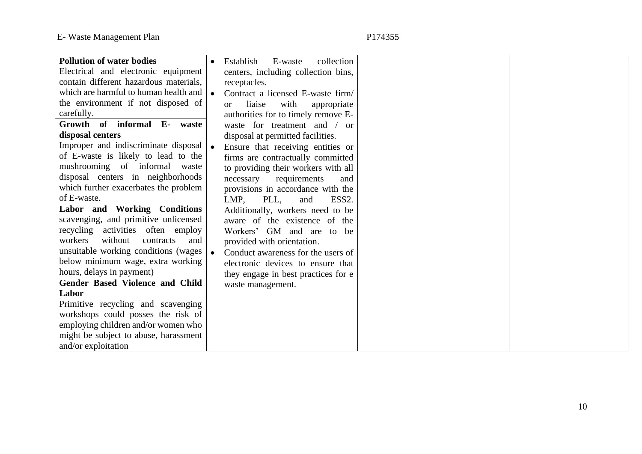| <b>Pollution of water bodies</b>       | Establish<br>collection<br>E-waste              |
|----------------------------------------|-------------------------------------------------|
| Electrical and electronic equipment    | centers, including collection bins,             |
| contain different hazardous materials, | receptacles.                                    |
| which are harmful to human health and  | Contract a licensed E-waste firm/               |
| the environment if not disposed of     | liaise<br>with<br>appropriate<br>$\alpha$       |
| carefully.                             | authorities for to timely remove E-             |
| Growth of informal E- waste            | waste for treatment and / or                    |
| disposal centers                       | disposal at permitted facilities.               |
| Improper and indiscriminate disposal   | Ensure that receiving entities or               |
| of E-waste is likely to lead to the    | firms are contractually committed               |
| mushrooming of informal<br>waste       | to providing their workers with all             |
| disposal centers in neighborhoods      | necessary<br>requirements<br>and                |
| which further exacerbates the problem  | provisions in accordance with the               |
| of E-waste.                            | LMP,<br>PLL,<br>ESS <sub>2</sub> .<br>and       |
| Labor and Working Conditions           | Additionally, workers need to be                |
| scavenging, and primitive unlicensed   | aware of the existence of the                   |
| recycling activities often employ      | Workers' GM and are to be                       |
| workers<br>without<br>contracts<br>and | provided with orientation.                      |
| unsuitable working conditions (wages)  | Conduct awareness for the users of<br>$\bullet$ |
| below minimum wage, extra working      | electronic devices to ensure that               |
| hours, delays in payment)              | they engage in best practices for e             |
| Gender Based Violence and Child        | waste management.                               |
| Labor                                  |                                                 |
| Primitive recycling and scavenging     |                                                 |
| workshops could posses the risk of     |                                                 |
| employing children and/or women who    |                                                 |
| might be subject to abuse, harassment  |                                                 |
| and/or exploitation                    |                                                 |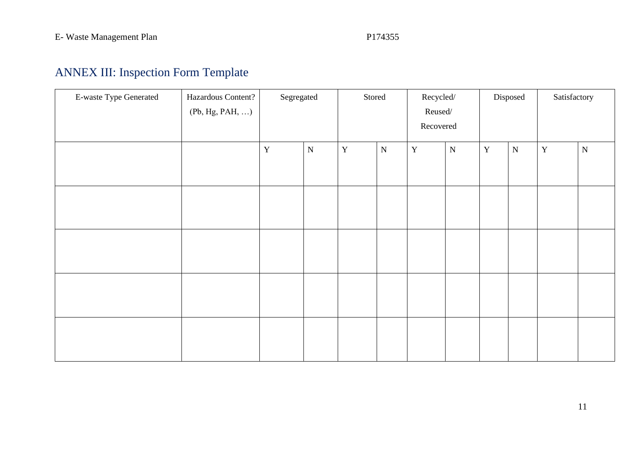# ANNEX III: Inspection Form Template

<span id="page-21-0"></span>

| E-waste Type Generated | Hazardous Content? | Segregated  |           | Stored      |           | Recycled/     |           | Disposed    |             | Satisfactory |           |
|------------------------|--------------------|-------------|-----------|-------------|-----------|---------------|-----------|-------------|-------------|--------------|-----------|
|                        | (Pb, Hg, PAH, )    |             |           |             |           | $\sf Reused/$ |           |             |             |              |           |
|                        |                    |             |           |             |           | Recovered     |           |             |             |              |           |
|                        |                    | $\mathbf Y$ | ${\bf N}$ | $\mathbf Y$ | ${\bf N}$ | $\mathbf Y$   | ${\bf N}$ | $\mathbf Y$ | $\mathbf N$ | $\mathbf Y$  | ${\bf N}$ |
|                        |                    |             |           |             |           |               |           |             |             |              |           |
|                        |                    |             |           |             |           |               |           |             |             |              |           |
|                        |                    |             |           |             |           |               |           |             |             |              |           |
|                        |                    |             |           |             |           |               |           |             |             |              |           |
|                        |                    |             |           |             |           |               |           |             |             |              |           |
|                        |                    |             |           |             |           |               |           |             |             |              |           |
|                        |                    |             |           |             |           |               |           |             |             |              |           |
|                        |                    |             |           |             |           |               |           |             |             |              |           |
|                        |                    |             |           |             |           |               |           |             |             |              |           |
|                        |                    |             |           |             |           |               |           |             |             |              |           |
|                        |                    |             |           |             |           |               |           |             |             |              |           |